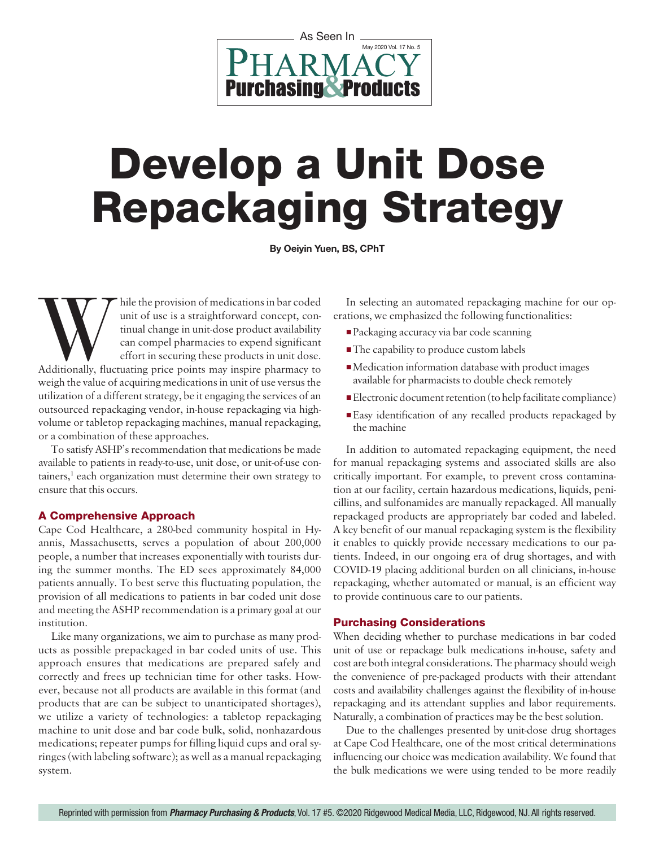

# Develop a Unit Dose Repackaging Strategy

**By Oeiyin Yuen, BS, CPhT**

While the provision of medications in bar coded unit of use is a straightforward concept, continual change in unit-dose product availability can compel pharmacies to expend significant effort in securing these products in unit of use is a straightforward concept, continual change in unit-dose product availability can compel pharmacies to expend significant effort in securing these products in unit dose. weigh the value of acquiring medications in unit of use versus the utilization of a different strategy, be it engaging the services of an outsourced repackaging vendor, in-house repackaging via highvolume or tabletop repackaging machines, manual repackaging, or a combination of these approaches.

To satisfy ASHP's recommendation that medications be made available to patients in ready-to-use, unit dose, or unit-of-use containers,<sup>1</sup> each organization must determine their own strategy to ensure that this occurs.

### A Comprehensive Approach

Cape Cod Healthcare, a 280-bed community hospital in Hyannis, Massachusetts, serves a population of about 200,000 people, a number that increases exponentially with tourists during the summer months. The ED sees approximately 84,000 patients annually. To best serve this fluctuating population, the provision of all medications to patients in bar coded unit dose and meeting the ASHP recommendation is a primary goal at our institution.

Like many organizations, we aim to purchase as many products as possible prepackaged in bar coded units of use. This approach ensures that medications are prepared safely and correctly and frees up technician time for other tasks. However, because not all products are available in this format (and products that are can be subject to unanticipated shortages), we utilize a variety of technologies: a tabletop repackaging machine to unit dose and bar code bulk, solid, nonhazardous medications; repeater pumps for filling liquid cups and oral syringes (with labeling software); as well as a manual repackaging system.

In selecting an automated repackaging machine for our operations, we emphasized the following functionalities:

- Packaging accuracy via bar code scanning
- The capability to produce custom labels
- Medication information database with product images available for pharmacists to double check remotely
- Electronic document retention (to help facilitate compliance)
- Easy identification of any recalled products repackaged by the machine

In addition to automated repackaging equipment, the need for manual repackaging systems and associated skills are also critically important. For example, to prevent cross contamination at our facility, certain hazardous medications, liquids, penicillins, and sulfonamides are manually repackaged. All manually repackaged products are appropriately bar coded and labeled. A key benefit of our manual repackaging system is the flexibility it enables to quickly provide necessary medications to our patients. Indeed, in our ongoing era of drug shortages, and with COVID-19 placing additional burden on all clinicians, in-house repackaging, whether automated or manual, is an efficient way to provide continuous care to our patients.

#### Purchasing Considerations

When deciding whether to purchase medications in bar coded unit of use or repackage bulk medications in-house, safety and cost are both integral considerations. The pharmacy should weigh the convenience of pre-packaged products with their attendant costs and availability challenges against the flexibility of in-house repackaging and its attendant supplies and labor requirements. Naturally, a combination of practices may be the best solution.

Due to the challenges presented by unit-dose drug shortages at Cape Cod Healthcare, one of the most critical determinations influencing our choice was medication availability. We found that the bulk medications we were using tended to be more readily